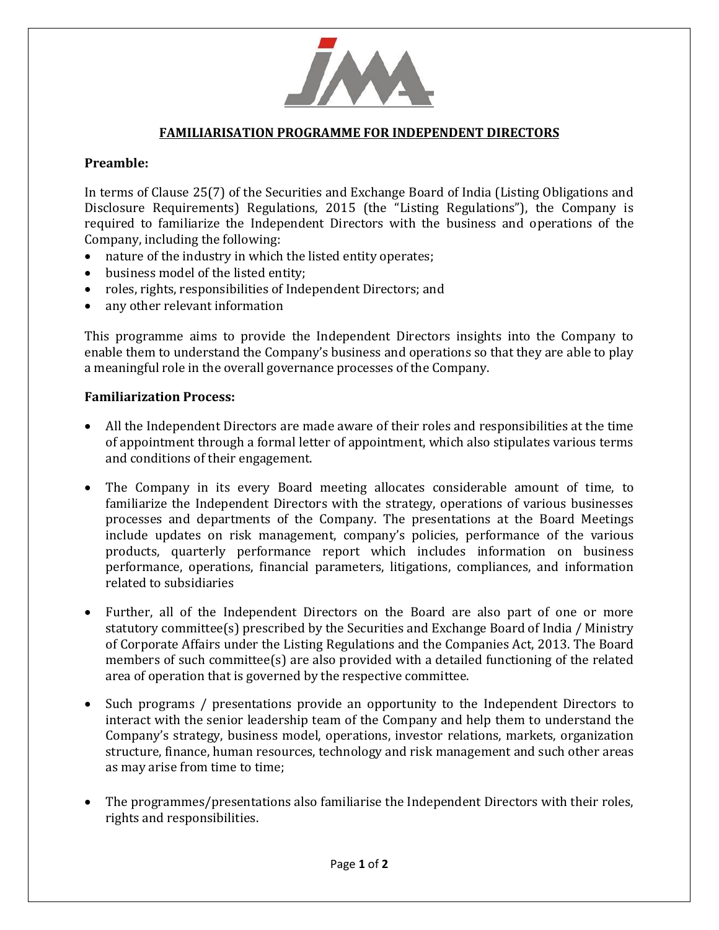

## **FAMILIARISATION PROGRAMME FOR INDEPENDENT DIRECTORS**

## **Preamble:**

In terms of Clause 25(7) of the Securities and Exchange Board of India (Listing Obligations and Disclosure Requirements) Regulations, 2015 (the "Listing Regulations"), the Company is required to familiarize the Independent Directors with the business and operations of the Company, including the following:

- nature of the industry in which the listed entity operates;
- business model of the listed entity;
- roles, rights, responsibilities of Independent Directors; and
- any other relevant information

This programme aims to provide the Independent Directors insights into the Company to enable them to understand the Company's business and operations so that they are able to play a meaningful role in the overall governance processes of the Company.

## **Familiarization Process:**

- All the Independent Directors are made aware of their roles and responsibilities at the time of appointment through a formal letter of appointment, which also stipulates various terms and conditions of their engagement.
- The Company in its every Board meeting allocates considerable amount of time, to familiarize the Independent Directors with the strategy, operations of various businesses processes and departments of the Company. The presentations at the Board Meetings include updates on risk management, company's policies, performance of the various products, quarterly performance report which includes information on business performance, operations, financial parameters, litigations, compliances, and information related to subsidiaries
- Further, all of the Independent Directors on the Board are also part of one or more statutory committee(s) prescribed by the Securities and Exchange Board of India / Ministry of Corporate Affairs under the Listing Regulations and the Companies Act, 2013. The Board members of such committee(s) are also provided with a detailed functioning of the related area of operation that is governed by the respective committee.
- Such programs / presentations provide an opportunity to the Independent Directors to interact with the senior leadership team of the Company and help them to understand the Company's strategy, business model, operations, investor relations, markets, organization structure, finance, human resources, technology and risk management and such other areas as may arise from time to time;
- The programmes/presentations also familiarise the Independent Directors with their roles, rights and responsibilities.